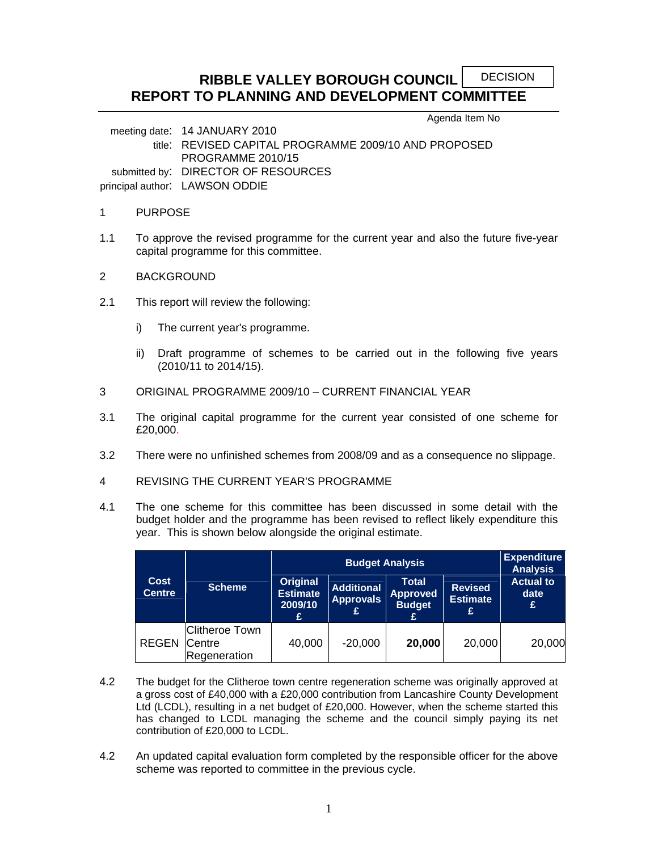#### **RIBBLE VALLEY BOROUGH COUNCIL REPORT TO PLANNING AND DEVELOPMENT COMMITTEE**  DECISION

Agenda Item No

meeting date: 14 JANUARY 2010 title: REVISED CAPITAL PROGRAMME 2009/10 AND PROPOSED PROGRAMME 2010/15 submitted by: DIRECTOR OF RESOURCES principal author: LAWSON ODDIE

#### 1 PURPOSE

- 1.1 To approve the revised programme for the current year and also the future five-year capital programme for this committee.
- 2 BACKGROUND
- 2.1 This report will review the following:
	- i) The current year's programme.
	- ii) Draft programme of schemes to be carried out in the following five years (2010/11 to 2014/15).
- 3 ORIGINAL PROGRAMME 2009/10 CURRENT FINANCIAL YEAR
- 3.1 The original capital programme for the current year consisted of one scheme for £20,000.
- 3.2 There were no unfinished schemes from 2008/09 and as a consequence no slippage.
- 4 REVISING THE CURRENT YEAR'S PROGRAMME
- 4.1 The one scheme for this committee has been discussed in some detail with the budget holder and the programme has been revised to reflect likely expenditure this year. This is shown below alongside the original estimate.

|                              |                                                 |                                             | <b>Expenditure</b><br><b>Analysis</b>      |                                                       |                                        |                                |
|------------------------------|-------------------------------------------------|---------------------------------------------|--------------------------------------------|-------------------------------------------------------|----------------------------------------|--------------------------------|
| <b>Cost</b><br><b>Centre</b> | <b>Scheme</b>                                   | Original<br><b>Estimate</b><br>2009/10<br>£ | <b>Additional</b><br><b>Approvals</b><br>£ | <b>Total</b><br><b>Approved</b><br><b>Budget</b><br>£ | <b>Revised</b><br><b>Estimate</b><br>£ | <b>Actual to</b><br>date<br>£. |
| <b>REGEN</b>                 | <b>Clitheroe Town</b><br>Centre<br>Regeneration | 40,000                                      | $-20,000$                                  | 20,000                                                | 20,000                                 | 20,000                         |

- 4.2 The budget for the Clitheroe town centre regeneration scheme was originally approved at a gross cost of £40,000 with a £20,000 contribution from Lancashire County Development Ltd (LCDL), resulting in a net budget of £20,000. However, when the scheme started this has changed to LCDL managing the scheme and the council simply paying its net contribution of £20,000 to LCDL.
- 4.2 An updated capital evaluation form completed by the responsible officer for the above scheme was reported to committee in the previous cycle.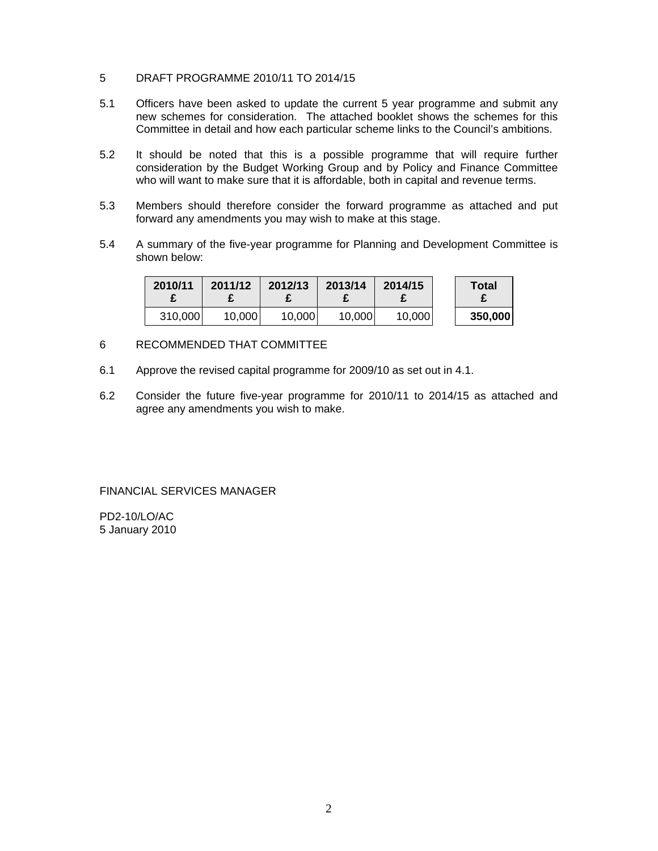- 5 DRAFT PROGRAMME 2010/11 TO 2014/15
- 5.1 Officers have been asked to update the current 5 year programme and submit any new schemes for consideration. The attached booklet shows the schemes for this Committee in detail and how each particular scheme links to the Council's ambitions.
- 5.2 It should be noted that this is a possible programme that will require further consideration by the Budget Working Group and by Policy and Finance Committee who will want to make sure that it is affordable, both in capital and revenue terms.
- 5.3 Members should therefore consider the forward programme as attached and put forward any amendments you may wish to make at this stage.
- 5.4 A summary of the five-year programme for Planning and Development Committee is shown below:

| 2010/11 | 2011/12 | 2012/13 | 2013/14 | 2014/15 | Total   |
|---------|---------|---------|---------|---------|---------|
| 310,000 | 10,000  | 10.000  | 10,000  | 10,000  | 350,000 |

#### 6 RECOMMENDED THAT COMMITTEE

- 6.1 Approve the revised capital programme for 2009/10 as set out in 4.1.
- 6.2 Consider the future five-year programme for 2010/11 to 2014/15 as attached and agree any amendments you wish to make.

FINANCIAL SERVICES MANAGER

PD2-10/LO/AC 5 January 2010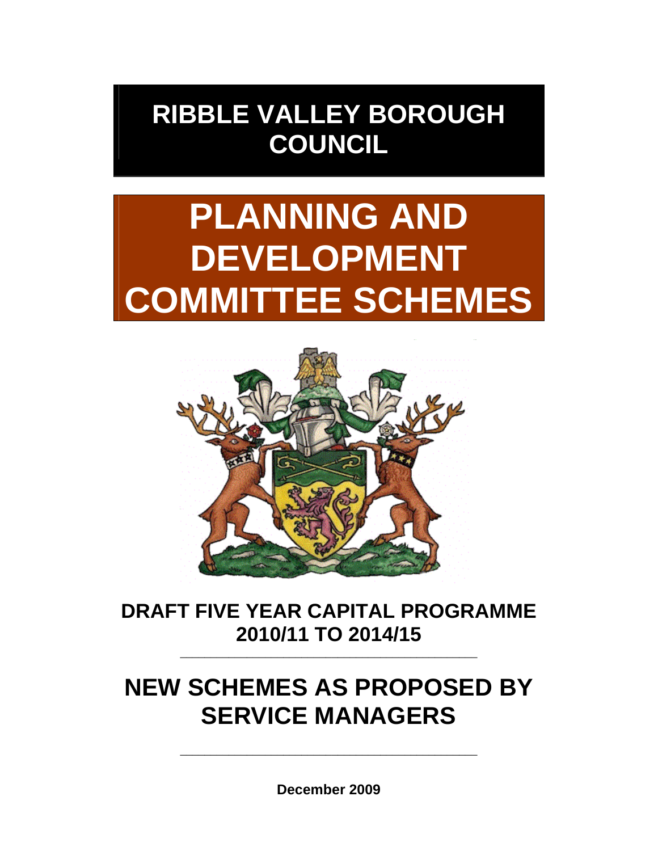## **RIBBLE VALLEY BOROUGH COUNCIL**

# **PLANNING AND DEVELOPMENT COMMITTEE SCHEMES**



### **DRAFT FIVE YEAR CAPITAL PROGRAMME 2010/11 TO 2014/15** \_\_\_\_\_\_\_\_\_\_\_\_\_\_\_\_\_\_\_\_\_\_\_\_\_\_\_\_\_\_\_\_\_\_\_\_\_\_\_\_\_\_\_\_\_\_\_\_\_

## **NEW SCHEMES AS PROPOSED BY SERVICE MANAGERS**

**December 2009**

\_\_\_\_\_\_\_\_\_\_\_\_\_\_\_\_\_\_\_\_\_\_\_\_\_\_\_\_\_\_\_\_\_\_\_\_\_\_\_\_\_\_\_\_\_\_\_\_\_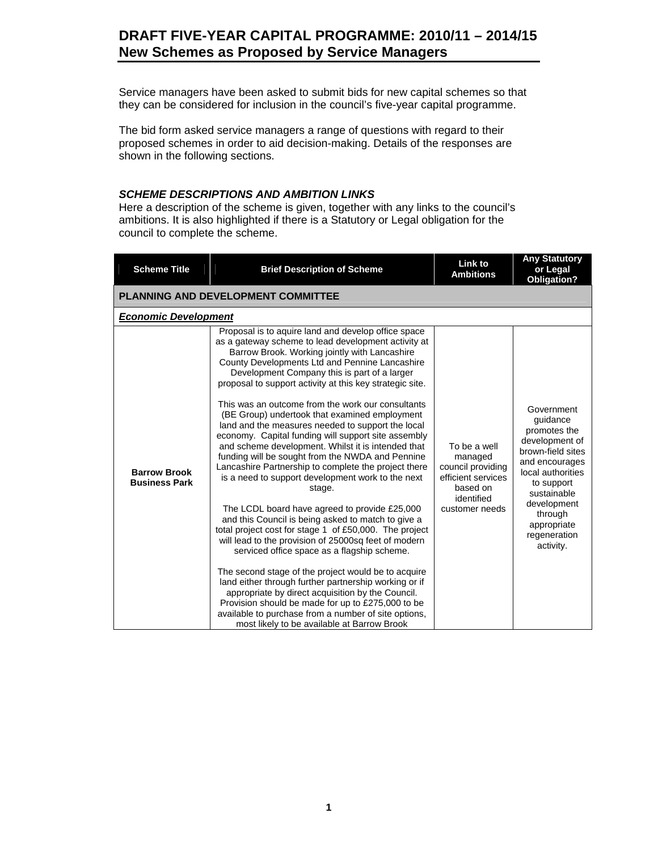#### **DRAFT FIVE-YEAR CAPITAL PROGRAMME: 2010/11 – 2014/15 New Schemes as Proposed by Service Managers**

Service managers have been asked to submit bids for new capital schemes so that they can be considered for inclusion in the council's five-year capital programme.

The bid form asked service managers a range of questions with regard to their proposed schemes in order to aid decision-making. Details of the responses are shown in the following sections.

#### *SCHEME DESCRIPTIONS AND AMBITION LINKS*

Here a description of the scheme is given, together with any links to the council's ambitions. It is also highlighted if there is a Statutory or Legal obligation for the council to complete the scheme.

| <b>Scheme Title</b>                         | <b>Brief Description of Scheme</b>                                                                                                                                                                                                                                                                                                                                                                                                                                                                                                                                                                                                                                                                                                                                                                                                                                                                                                                                                                                                                                                                                                                                                                                                                                                                                                                                                    | <b>Link to</b><br><b>Ambitions</b>                                                                             | <b>Any Statutory</b><br>or Legal<br><b>Obligation?</b>                                                                                                                                                                  |  |  |  |  |  |  |
|---------------------------------------------|---------------------------------------------------------------------------------------------------------------------------------------------------------------------------------------------------------------------------------------------------------------------------------------------------------------------------------------------------------------------------------------------------------------------------------------------------------------------------------------------------------------------------------------------------------------------------------------------------------------------------------------------------------------------------------------------------------------------------------------------------------------------------------------------------------------------------------------------------------------------------------------------------------------------------------------------------------------------------------------------------------------------------------------------------------------------------------------------------------------------------------------------------------------------------------------------------------------------------------------------------------------------------------------------------------------------------------------------------------------------------------------|----------------------------------------------------------------------------------------------------------------|-------------------------------------------------------------------------------------------------------------------------------------------------------------------------------------------------------------------------|--|--|--|--|--|--|
|                                             | <b>PLANNING AND DEVELOPMENT COMMITTEE</b>                                                                                                                                                                                                                                                                                                                                                                                                                                                                                                                                                                                                                                                                                                                                                                                                                                                                                                                                                                                                                                                                                                                                                                                                                                                                                                                                             |                                                                                                                |                                                                                                                                                                                                                         |  |  |  |  |  |  |
| <b>Economic Development</b>                 |                                                                                                                                                                                                                                                                                                                                                                                                                                                                                                                                                                                                                                                                                                                                                                                                                                                                                                                                                                                                                                                                                                                                                                                                                                                                                                                                                                                       |                                                                                                                |                                                                                                                                                                                                                         |  |  |  |  |  |  |
| <b>Barrow Brook</b><br><b>Business Park</b> | Proposal is to aquire land and develop office space<br>as a gateway scheme to lead development activity at<br>Barrow Brook. Working jointly with Lancashire<br>County Developments Ltd and Pennine Lancashire<br>Development Company this is part of a larger<br>proposal to support activity at this key strategic site.<br>This was an outcome from the work our consultants<br>(BE Group) undertook that examined employment<br>land and the measures needed to support the local<br>economy. Capital funding will support site assembly<br>and scheme development. Whilst it is intended that<br>funding will be sought from the NWDA and Pennine<br>Lancashire Partnership to complete the project there<br>is a need to support development work to the next<br>stage.<br>The LCDL board have agreed to provide £25,000<br>and this Council is being asked to match to give a<br>total project cost for stage 1 of £50,000. The project<br>will lead to the provision of 25000sq feet of modern<br>serviced office space as a flagship scheme.<br>The second stage of the project would be to acquire<br>land either through further partnership working or if<br>appropriate by direct acquisition by the Council.<br>Provision should be made for up to £275,000 to be<br>available to purchase from a number of site options,<br>most likely to be available at Barrow Brook | To be a well<br>managed<br>council providing<br>efficient services<br>based on<br>identified<br>customer needs | Government<br>guidance<br>promotes the<br>development of<br>brown-field sites<br>and encourages<br>local authorities<br>to support<br>sustainable<br>development<br>through<br>appropriate<br>regeneration<br>activity. |  |  |  |  |  |  |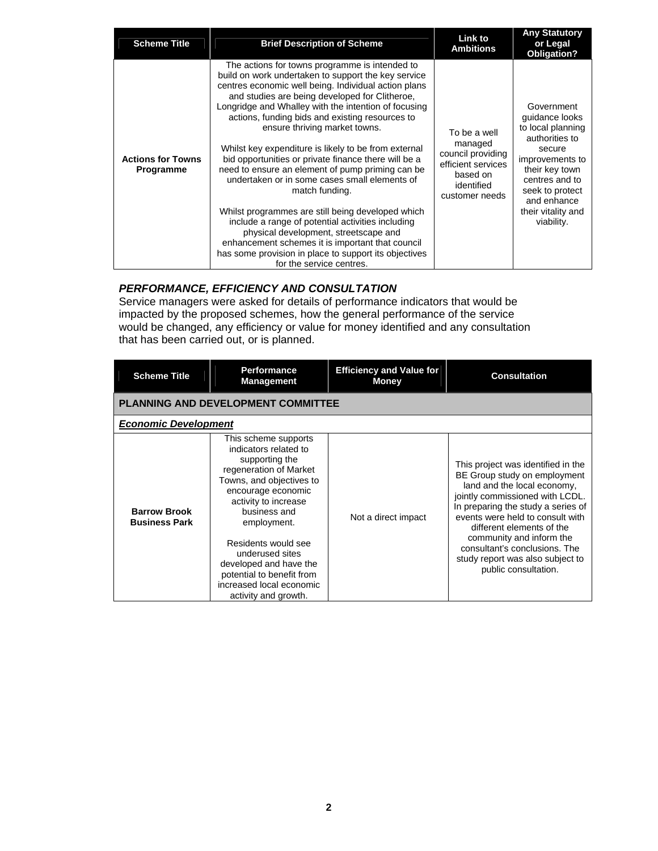| <b>Scheme Title</b>                   | <b>Brief Description of Scheme</b>                                                                                                                                                                                                                                                                                                                                                                                                                                                                                                                                                                 | <b>Link to</b><br><b>Ambitions</b>                                                                             | <b>Any Statutory</b><br>or Legal<br><b>Obligation?</b>                                                                                                                 |
|---------------------------------------|----------------------------------------------------------------------------------------------------------------------------------------------------------------------------------------------------------------------------------------------------------------------------------------------------------------------------------------------------------------------------------------------------------------------------------------------------------------------------------------------------------------------------------------------------------------------------------------------------|----------------------------------------------------------------------------------------------------------------|------------------------------------------------------------------------------------------------------------------------------------------------------------------------|
| <b>Actions for Towns</b><br>Programme | The actions for towns programme is intended to<br>build on work undertaken to support the key service<br>centres economic well being. Individual action plans<br>and studies are being developed for Clitheroe,<br>Longridge and Whalley with the intention of focusing<br>actions, funding bids and existing resources to<br>ensure thriving market towns.<br>Whilst key expenditure is likely to be from external<br>bid opportunities or private finance there will be a<br>need to ensure an element of pump priming can be<br>undertaken or in some cases small elements of<br>match funding. | To be a well<br>managed<br>council providing<br>efficient services<br>based on<br>identified<br>customer needs | Government<br>quidance looks<br>to local planning<br>authorities to<br>secure<br>improvements to<br>their key town<br>centres and to<br>seek to protect<br>and enhance |
|                                       | Whilst programmes are still being developed which<br>include a range of potential activities including<br>physical development, streetscape and<br>enhancement schemes it is important that council<br>has some provision in place to support its objectives<br>for the service centres.                                                                                                                                                                                                                                                                                                           |                                                                                                                | their vitality and<br>viability.                                                                                                                                       |

#### *PERFORMANCE, EFFICIENCY AND CONSULTATION*

Service managers were asked for details of performance indicators that would be impacted by the proposed schemes, how the general performance of the service would be changed, any efficiency or value for money identified and any consultation that has been carried out, or is planned.

| <b>Scheme Title</b>                         | <b>Performance</b><br><b>Management</b>                                                                                                                                                                                                                                                                                                                 | <b>Efficiency and Value for</b><br><b>Money</b> | <b>Consultation</b>                                                                                                                                                                                                                                                                                                                                                  |  |  |  |  |
|---------------------------------------------|---------------------------------------------------------------------------------------------------------------------------------------------------------------------------------------------------------------------------------------------------------------------------------------------------------------------------------------------------------|-------------------------------------------------|----------------------------------------------------------------------------------------------------------------------------------------------------------------------------------------------------------------------------------------------------------------------------------------------------------------------------------------------------------------------|--|--|--|--|
| <b>PLANNING AND DEVELOPMENT COMMITTEE</b>   |                                                                                                                                                                                                                                                                                                                                                         |                                                 |                                                                                                                                                                                                                                                                                                                                                                      |  |  |  |  |
|                                             | <b>Economic Development</b>                                                                                                                                                                                                                                                                                                                             |                                                 |                                                                                                                                                                                                                                                                                                                                                                      |  |  |  |  |
| <b>Barrow Brook</b><br><b>Business Park</b> | This scheme supports<br>indicators related to<br>supporting the<br>regeneration of Market<br>Towns, and objectives to<br>encourage economic<br>activity to increase<br>business and<br>employment.<br>Residents would see<br>underused sites<br>developed and have the<br>potential to benefit from<br>increased local economic<br>activity and growth. | Not a direct impact                             | This project was identified in the<br>BE Group study on employment<br>land and the local economy,<br>jointly commissioned with LCDL.<br>In preparing the study a series of<br>events were held to consult with<br>different elements of the<br>community and inform the<br>consultant's conclusions. The<br>study report was also subject to<br>public consultation. |  |  |  |  |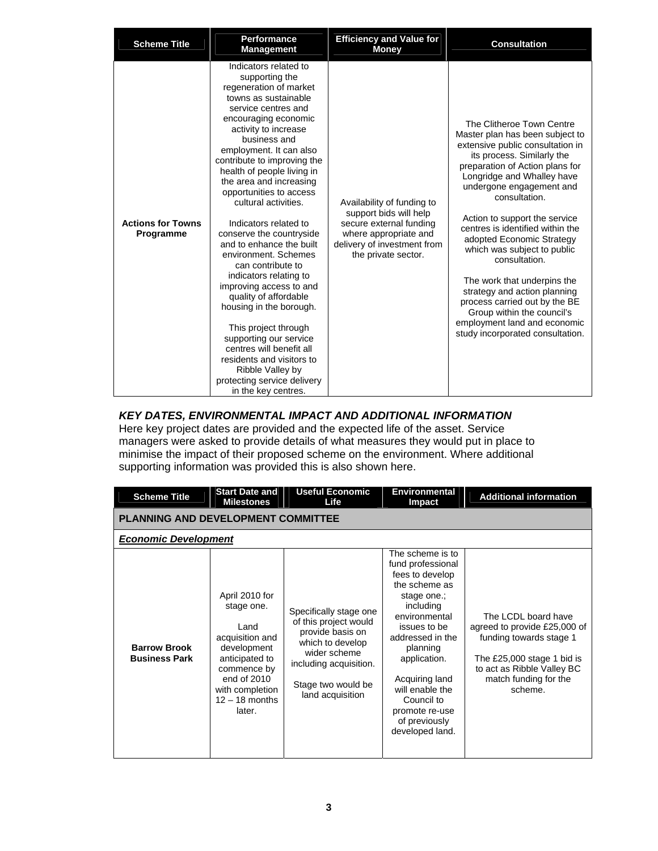| <b>Scheme Title</b>                   | <b>Performance</b><br><b>Management</b>                                                                                                                                                                                                                                                                                                                                                                                                                                                                                                                                                                                                                                                                                                                                            | <b>Efficiency and Value for</b><br><b>Money</b>                                                                                                                | <b>Consultation</b>                                                                                                                                                                                                                                                                                                                                                                                                                                                                                                                                                                              |
|---------------------------------------|------------------------------------------------------------------------------------------------------------------------------------------------------------------------------------------------------------------------------------------------------------------------------------------------------------------------------------------------------------------------------------------------------------------------------------------------------------------------------------------------------------------------------------------------------------------------------------------------------------------------------------------------------------------------------------------------------------------------------------------------------------------------------------|----------------------------------------------------------------------------------------------------------------------------------------------------------------|--------------------------------------------------------------------------------------------------------------------------------------------------------------------------------------------------------------------------------------------------------------------------------------------------------------------------------------------------------------------------------------------------------------------------------------------------------------------------------------------------------------------------------------------------------------------------------------------------|
| <b>Actions for Towns</b><br>Programme | Indicators related to<br>supporting the<br>regeneration of market<br>towns as sustainable<br>service centres and<br>encouraging economic<br>activity to increase<br>business and<br>employment. It can also<br>contribute to improving the<br>health of people living in<br>the area and increasing<br>opportunities to access<br>cultural activities.<br>Indicators related to<br>conserve the countryside<br>and to enhance the built<br>environment. Schemes<br>can contribute to<br>indicators relating to<br>improving access to and<br>quality of affordable<br>housing in the borough.<br>This project through<br>supporting our service<br>centres will benefit all<br>residents and visitors to<br>Ribble Valley by<br>protecting service delivery<br>in the key centres. | Availability of funding to<br>support bids will help<br>secure external funding<br>where appropriate and<br>delivery of investment from<br>the private sector. | The Clitheroe Town Centre<br>Master plan has been subject to<br>extensive public consultation in<br>its process. Similarly the<br>preparation of Action plans for<br>Longridge and Whalley have<br>undergone engagement and<br>consultation.<br>Action to support the service<br>centres is identified within the<br>adopted Economic Strategy<br>which was subject to public<br>consultation.<br>The work that underpins the<br>strategy and action planning<br>process carried out by the BE<br>Group within the council's<br>employment land and economic<br>study incorporated consultation. |

#### *KEY DATES, ENVIRONMENTAL IMPACT AND ADDITIONAL INFORMATION*

Here key project dates are provided and the expected life of the asset. Service managers were asked to provide details of what measures they would put in place to minimise the impact of their proposed scheme on the environment. Where additional supporting information was provided this is also shown here.

| <b>Scheme Title</b>                         | <b>Start Date and</b><br><b>Milestones</b>                                                                                                                              | <b>Useful Economic</b><br>Life                                                                                                                                              | <b>Environmental</b><br>Impact                                                                                                                                                                                                                                                                  | <b>Additional information</b>                                                                                                                                                  |  |  |  |  |
|---------------------------------------------|-------------------------------------------------------------------------------------------------------------------------------------------------------------------------|-----------------------------------------------------------------------------------------------------------------------------------------------------------------------------|-------------------------------------------------------------------------------------------------------------------------------------------------------------------------------------------------------------------------------------------------------------------------------------------------|--------------------------------------------------------------------------------------------------------------------------------------------------------------------------------|--|--|--|--|
|                                             | PLANNING AND DEVELOPMENT COMMITTEE                                                                                                                                      |                                                                                                                                                                             |                                                                                                                                                                                                                                                                                                 |                                                                                                                                                                                |  |  |  |  |
| <b>Economic Development</b>                 |                                                                                                                                                                         |                                                                                                                                                                             |                                                                                                                                                                                                                                                                                                 |                                                                                                                                                                                |  |  |  |  |
| <b>Barrow Brook</b><br><b>Business Park</b> | April 2010 for<br>stage one.<br>Land<br>acquisition and<br>development<br>anticipated to<br>commence by<br>end of 2010<br>with completion<br>$12 - 18$ months<br>later. | Specifically stage one<br>of this project would<br>provide basis on<br>which to develop<br>wider scheme<br>including acquisition.<br>Stage two would be<br>land acquisition | The scheme is to<br>fund professional<br>fees to develop<br>the scheme as<br>stage one.;<br>including<br>environmental<br>issues to be<br>addressed in the<br>planning<br>application.<br>Acquiring land<br>will enable the<br>Council to<br>promote re-use<br>of previously<br>developed land. | The LCDL board have<br>agreed to provide £25,000 of<br>funding towards stage 1<br>The £25,000 stage 1 bid is<br>to act as Ribble Valley BC<br>match funding for the<br>scheme. |  |  |  |  |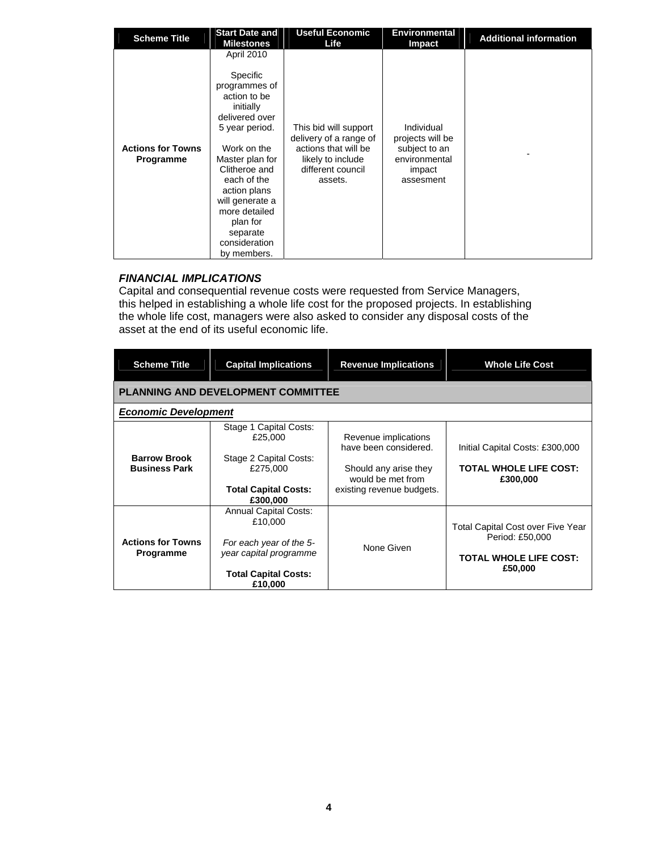| <b>Scheme Title</b>                   | <b>Start Date and</b><br><b>Milestones</b>                                                                                                                                                                                                                                                           | <b>Useful Economic</b><br>Life                                                                                               | <b>Environmental</b><br>Impact                                                          | <b>Additional information</b> |
|---------------------------------------|------------------------------------------------------------------------------------------------------------------------------------------------------------------------------------------------------------------------------------------------------------------------------------------------------|------------------------------------------------------------------------------------------------------------------------------|-----------------------------------------------------------------------------------------|-------------------------------|
| <b>Actions for Towns</b><br>Programme | <b>April 2010</b><br><b>Specific</b><br>programmes of<br>action to be<br>initially<br>delivered over<br>5 year period.<br>Work on the<br>Master plan for<br>Clitheroe and<br>each of the<br>action plans<br>will generate a<br>more detailed<br>plan for<br>separate<br>consideration<br>by members. | This bid will support<br>delivery of a range of<br>actions that will be<br>likely to include<br>different council<br>assets. | Individual<br>projects will be<br>subject to an<br>environmental<br>impact<br>assesment |                               |

#### *FINANCIAL IMPLICATIONS*

Capital and consequential revenue costs were requested from Service Managers, this helped in establishing a whole life cost for the proposed projects. In establishing the whole life cost, managers were also asked to consider any disposal costs of the asset at the end of its useful economic life.

| <b>Scheme Title</b>                         | <b>Capital Implications</b>                                                                                                            | <b>Revenue Implications</b>                                                                                              | <b>Whole Life Cost</b>                                                                                  |  |  |  |  |
|---------------------------------------------|----------------------------------------------------------------------------------------------------------------------------------------|--------------------------------------------------------------------------------------------------------------------------|---------------------------------------------------------------------------------------------------------|--|--|--|--|
|                                             | <b>PLANNING AND DEVELOPMENT COMMITTEE</b>                                                                                              |                                                                                                                          |                                                                                                         |  |  |  |  |
|                                             | <b>Economic Development</b>                                                                                                            |                                                                                                                          |                                                                                                         |  |  |  |  |
| <b>Barrow Brook</b><br><b>Business Park</b> | Stage 1 Capital Costs:<br>£25,000<br>Stage 2 Capital Costs:<br>£275,000<br><b>Total Capital Costs:</b><br>£300,000                     | Revenue implications<br>have been considered.<br>Should any arise they<br>would be met from<br>existing revenue budgets. | Initial Capital Costs: £300,000<br><b>TOTAL WHOLE LIFE COST:</b><br>£300,000                            |  |  |  |  |
| <b>Actions for Towns</b><br>Programme       | <b>Annual Capital Costs:</b><br>£10,000<br>For each year of the 5-<br>year capital programme<br><b>Total Capital Costs:</b><br>£10,000 | None Given                                                                                                               | <b>Total Capital Cost over Five Year</b><br>Period: £50,000<br><b>TOTAL WHOLE LIFE COST:</b><br>£50,000 |  |  |  |  |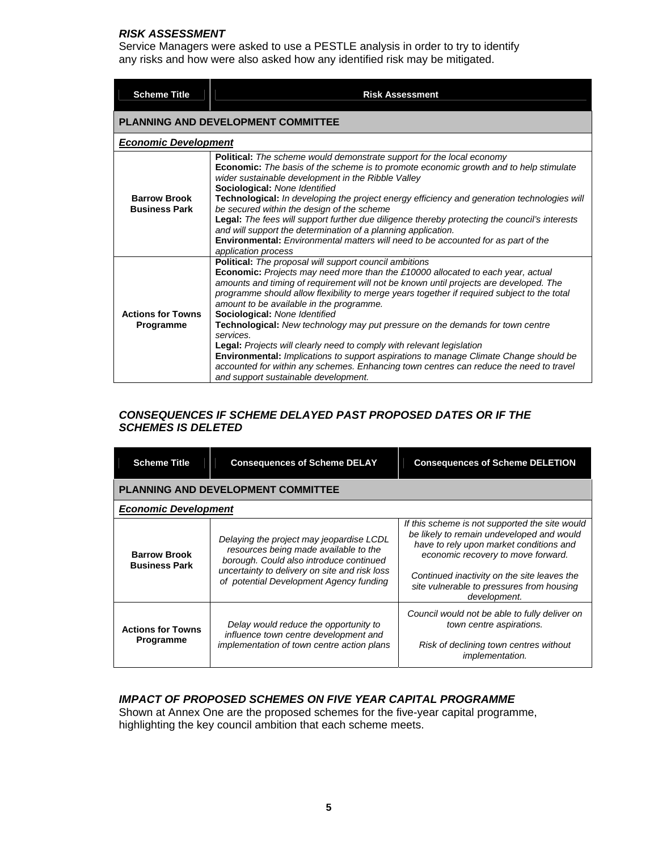#### *RISK ASSESSMENT*

Service Managers were asked to use a PESTLE analysis in order to try to identify any risks and how were also asked how any identified risk may be mitigated.

| <b>Scheme Title</b>                          | <b>Risk Assessment</b>                                                                                                                                                                                                                                                                                                                                                                                                                                                                                                                                                                                                                                                                                                                                                                                                  |
|----------------------------------------------|-------------------------------------------------------------------------------------------------------------------------------------------------------------------------------------------------------------------------------------------------------------------------------------------------------------------------------------------------------------------------------------------------------------------------------------------------------------------------------------------------------------------------------------------------------------------------------------------------------------------------------------------------------------------------------------------------------------------------------------------------------------------------------------------------------------------------|
|                                              | <b>PLANNING AND DEVELOPMENT COMMITTEE</b>                                                                                                                                                                                                                                                                                                                                                                                                                                                                                                                                                                                                                                                                                                                                                                               |
| <b>Economic Development</b>                  |                                                                                                                                                                                                                                                                                                                                                                                                                                                                                                                                                                                                                                                                                                                                                                                                                         |
| <b>Barrow Brook</b><br><b>Business Park</b>  | Political: The scheme would demonstrate support for the local economy<br><b>Economic:</b> The basis of the scheme is to promote economic growth and to help stimulate<br>wider sustainable development in the Ribble Valley<br>Sociological: None Identified<br>Technological: In developing the project energy efficiency and generation technologies will<br>be secured within the design of the scheme<br>Legal: The fees will support further due diligence thereby protecting the council's interests<br>and will support the determination of a planning application.<br>Environmental: Environmental matters will need to be accounted for as part of the<br>application process                                                                                                                                 |
| <b>Actions for Towns</b><br><b>Programme</b> | Political: The proposal will support council ambitions<br>Economic: Projects may need more than the £10000 allocated to each year, actual<br>amounts and timing of requirement will not be known until projects are developed. The<br>programme should allow flexibility to merge years together if required subject to the total<br>amount to be available in the programme.<br>Sociological: None Identified<br><b>Technological:</b> New technology may put pressure on the demands for town centre<br>services.<br>Legal: Projects will clearly need to comply with relevant legislation<br>Environmental: Implications to support aspirations to manage Climate Change should be<br>accounted for within any schemes. Enhancing town centres can reduce the need to travel<br>and support sustainable development. |

#### *CONSEQUENCES IF SCHEME DELAYED PAST PROPOSED DATES OR IF THE SCHEMES IS DELETED*

| <b>Scheme Title</b>                         | <b>Consequences of Scheme DELAY</b>                                                                                                                                                                                      | <b>Consequences of Scheme DELETION</b>                                                                                                                                                                                                                                                   |  |  |
|---------------------------------------------|--------------------------------------------------------------------------------------------------------------------------------------------------------------------------------------------------------------------------|------------------------------------------------------------------------------------------------------------------------------------------------------------------------------------------------------------------------------------------------------------------------------------------|--|--|
|                                             | <b>PLANNING AND DEVELOPMENT COMMITTEE</b>                                                                                                                                                                                |                                                                                                                                                                                                                                                                                          |  |  |
| <b>Economic Development</b>                 |                                                                                                                                                                                                                          |                                                                                                                                                                                                                                                                                          |  |  |
| <b>Barrow Brook</b><br><b>Business Park</b> | Delaying the project may jeopardise LCDL<br>resources being made available to the<br>borough. Could also introduce continued<br>uncertainty to delivery on site and risk loss<br>of potential Development Agency funding | If this scheme is not supported the site would<br>be likely to remain undeveloped and would<br>have to rely upon market conditions and<br>economic recovery to move forward.<br>Continued inactivity on the site leaves the<br>site vulnerable to pressures from housing<br>development. |  |  |
| <b>Actions for Towns</b><br>Programme       | Delay would reduce the opportunity to<br>influence town centre development and<br>implementation of town centre action plans                                                                                             | Council would not be able to fully deliver on<br>town centre aspirations.<br>Risk of declining town centres without<br><i>implementation.</i>                                                                                                                                            |  |  |

#### *IMPACT OF PROPOSED SCHEMES ON FIVE YEAR CAPITAL PROGRAMME*

Shown at Annex One are the proposed schemes for the five-year capital programme, highlighting the key council ambition that each scheme meets.